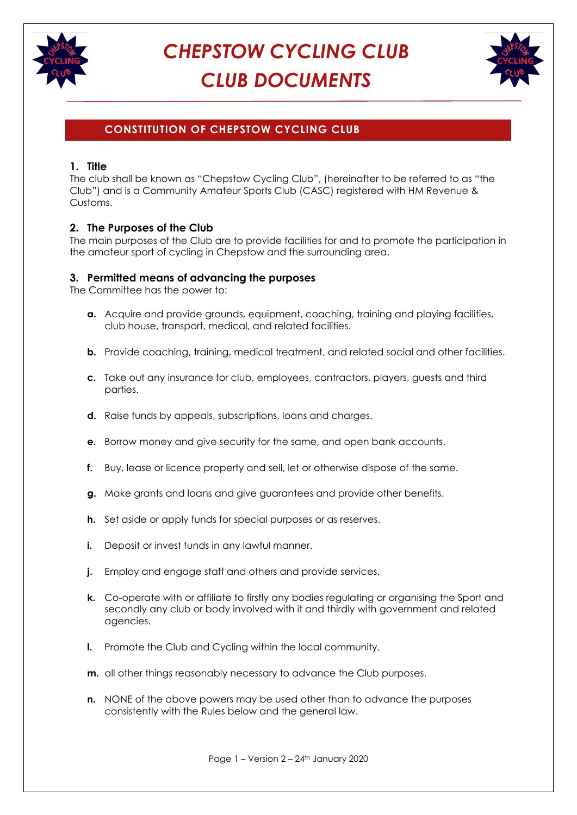



## **CONSTITUTION OF CHEPSTOW CYCLING CLUB**

### **1. Title**

The club shall be known as "Chepstow Cycling Club", (hereinafter to be referred to as "the Club") and is a Community Amateur Sports Club (CASC) registered with HM Revenue & Customs.

### **2. The Purposes of the Club**

The main purposes of the Club are to provide facilities for and to promote the participation in the amateur sport of cycling in Chepstow and the surrounding area.

### **3. Permitted means of advancing the purposes**

The Committee has the power to:

- **a.** Acquire and provide grounds, equipment, coaching, training and playing facilities, club house, transport, medical, and related facilities.
- **b.** Provide coaching, training, medical treatment, and related social and other facilities.
- **c.** Take out any insurance for club, employees, contractors, players, guests and third parties.
- **d.** Raise funds by appeals, subscriptions, loans and charges.
- **e.** Borrow money and give security for the same, and open bank accounts.
- **f.** Buy, lease or licence property and sell, let or otherwise dispose of the same.
- **g.** Make grants and loans and give guarantees and provide other benefits.
- **h.** Set aside or apply funds for special purposes or as reserves.
- **i.** Deposit or invest funds in any lawful manner.
- **j.** Employ and engage staff and others and provide services.
- **k.** Co-operate with or affiliate to firstly any bodies regulating or organising the Sport and secondly any club or body involved with it and thirdly with government and related agencies.
- **l.** Promote the Club and Cycling within the local community.
- **m.** all other things reasonably necessary to advance the Club purposes.
- **n.** NONE of the above powers may be used other than to advance the purposes consistently with the Rules below and the general law.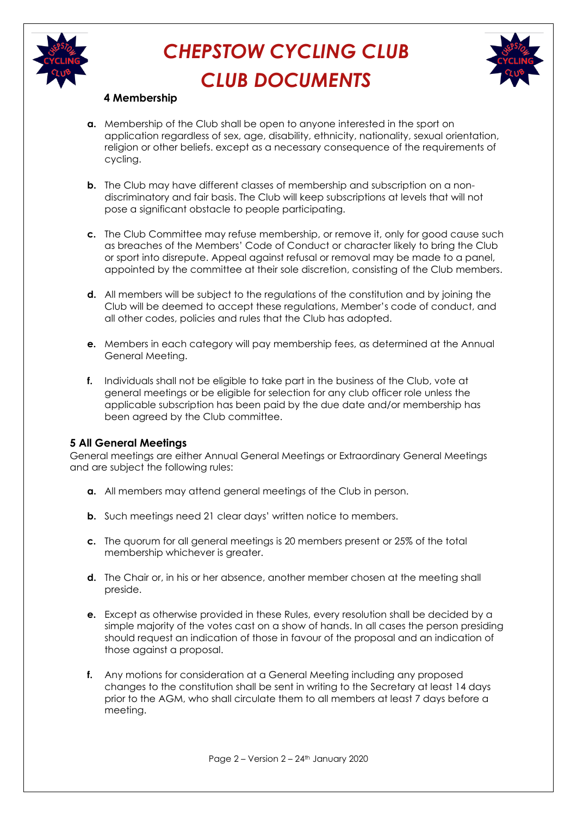



## **4 Membership**

- **a.** Membership of the Club shall be open to anyone interested in the sport on application regardless of sex, age, disability, ethnicity, nationality, sexual orientation, religion or other beliefs. except as a necessary consequence of the requirements of cycling.
- **b.** The Club may have different classes of membership and subscription on a nondiscriminatory and fair basis. The Club will keep subscriptions at levels that will not pose a significant obstacle to people participating.
- **c.** The Club Committee may refuse membership, or remove it, only for good cause such as breaches of the Members' Code of Conduct or character likely to bring the Club or sport into disrepute. Appeal against refusal or removal may be made to a panel, appointed by the committee at their sole discretion, consisting of the Club members.
- **d.** All members will be subject to the regulations of the constitution and by joining the Club will be deemed to accept these regulations, Member's code of conduct, and all other codes, policies and rules that the Club has adopted.
- **e.** Members in each category will pay membership fees, as determined at the Annual General Meeting.
- **f.** Individuals shall not be eligible to take part in the business of the Club, vote at general meetings or be eligible for selection for any club officer role unless the applicable subscription has been paid by the due date and/or membership has been agreed by the Club committee.

### **5 All General Meetings**

General meetings are either Annual General Meetings or Extraordinary General Meetings and are subject the following rules:

- **a.** All members may attend general meetings of the Club in person.
- **b.** Such meetings need 21 clear days' written notice to members.
- **c.** The quorum for all general meetings is 20 members present or 25% of the total membership whichever is greater.
- **d.** The Chair or, in his or her absence, another member chosen at the meeting shall preside.
- **e.** Except as otherwise provided in these Rules, every resolution shall be decided by a simple majority of the votes cast on a show of hands. In all cases the person presiding should request an indication of those in favour of the proposal and an indication of those against a proposal.
- **f.** Any motions for consideration at a General Meeting including any proposed changes to the constitution shall be sent in writing to the Secretary at least 14 days prior to the AGM, who shall circulate them to all members at least 7 days before a meeting.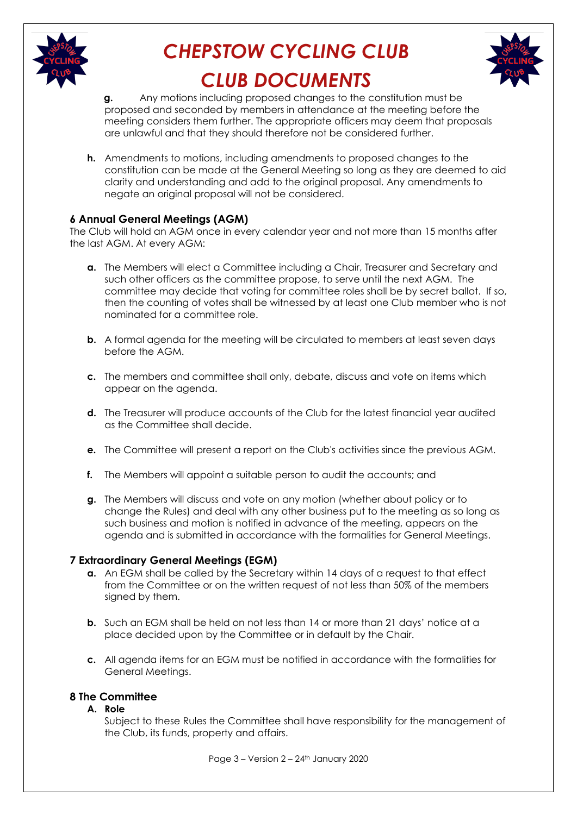



**g.** Any motions including proposed changes to the constitution must be proposed and seconded by members in attendance at the meeting before the meeting considers them further. The appropriate officers may deem that proposals are unlawful and that they should therefore not be considered further.

**h.** Amendments to motions, including amendments to proposed changes to the constitution can be made at the General Meeting so long as they are deemed to aid clarity and understanding and add to the original proposal. Any amendments to negate an original proposal will not be considered.

## **6 Annual General Meetings (AGM)**

The Club will hold an AGM once in every calendar year and not more than 15 months after the last AGM. At every AGM:

- **a.** The Members will elect a Committee including a Chair, Treasurer and Secretary and such other officers as the committee propose, to serve until the next AGM. The committee may decide that voting for committee roles shall be by secret ballot. If so, then the counting of votes shall be witnessed by at least one Club member who is not nominated for a committee role.
- **b.** A formal agenda for the meeting will be circulated to members at least seven days before the AGM.
- **c.** The members and committee shall only, debate, discuss and vote on items which appear on the agenda.
- **d.** The Treasurer will produce accounts of the Club for the latest financial year audited as the Committee shall decide.
- **e.** The Committee will present a report on the Club's activities since the previous AGM.
- **f.** The Members will appoint a suitable person to audit the accounts; and
- **g.** The Members will discuss and vote on any motion (whether about policy or to change the Rules) and deal with any other business put to the meeting as so long as such business and motion is notified in advance of the meeting, appears on the agenda and is submitted in accordance with the formalities for General Meetings.

### **7 Extraordinary General Meetings (EGM)**

- **a.** An EGM shall be called by the Secretary within 14 days of a request to that effect from the Committee or on the written request of not less than 50% of the members signed by them.
- **b.** Such an EGM shall be held on not less than 14 or more than 21 days' notice at a place decided upon by the Committee or in default by the Chair.
- **c.** All agenda items for an EGM must be notified in accordance with the formalities for General Meetings.

## **8 The Committee**

### **A. Role**

Subject to these Rules the Committee shall have responsibility for the management of the Club, its funds, property and affairs.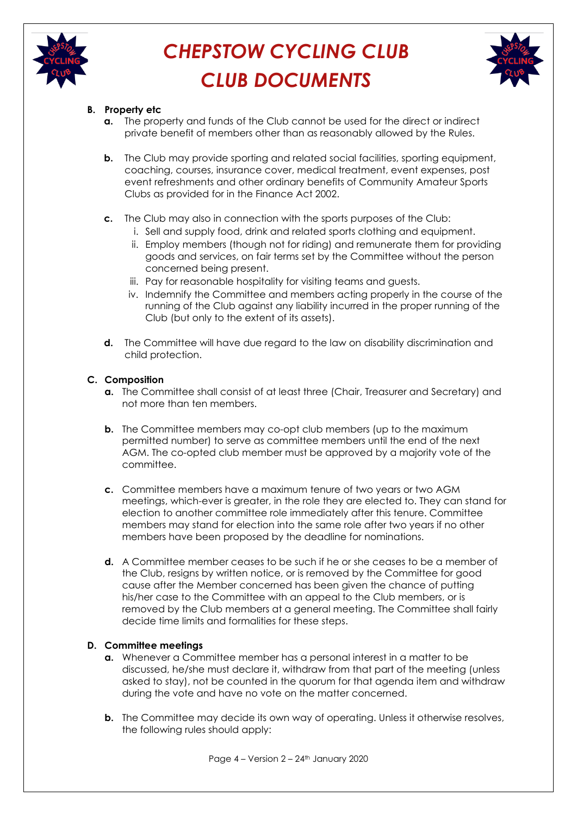



## **B. Property etc**

- **a.** The property and funds of the Club cannot be used for the direct or indirect private benefit of members other than as reasonably allowed by the Rules.
- **b.** The Club may provide sporting and related social facilities, sporting equipment, coaching, courses, insurance cover, medical treatment, event expenses, post event refreshments and other ordinary benefits of Community Amateur Sports Clubs as provided for in the Finance Act 2002.
- **c.** The Club may also in connection with the sports purposes of the Club:
	- i. Sell and supply food, drink and related sports clothing and equipment.
	- ii. Employ members (though not for riding) and remunerate them for providing goods and services, on fair terms set by the Committee without the person concerned being present.
	- iii. Pay for reasonable hospitality for visiting teams and guests.
	- iv. Indemnify the Committee and members acting properly in the course of the running of the Club against any liability incurred in the proper running of the Club (but only to the extent of its assets).
- **d.** The Committee will have due regard to the law on disability discrimination and child protection.

### **C. Composition**

- **a.** The Committee shall consist of at least three (Chair, Treasurer and Secretary) and not more than ten members.
- **b.** The Committee members may co-opt club members (up to the maximum permitted number) to serve as committee members until the end of the next AGM. The co-opted club member must be approved by a majority vote of the committee.
- **c.** Committee members have a maximum tenure of two years or two AGM meetings, which-ever is greater, in the role they are elected to. They can stand for election to another committee role immediately after this tenure. Committee members may stand for election into the same role after two years if no other members have been proposed by the deadline for nominations.
- **d.** A Committee member ceases to be such if he or she ceases to be a member of the Club, resigns by written notice, or is removed by the Committee for good cause after the Member concerned has been given the chance of putting his/her case to the Committee with an appeal to the Club members, or is removed by the Club members at a general meeting. The Committee shall fairly decide time limits and formalities for these steps.

### **D. Committee meetings**

- **a.** Whenever a Committee member has a personal interest in a matter to be discussed, he/she must declare it, withdraw from that part of the meeting (unless asked to stay), not be counted in the quorum for that agenda item and withdraw during the vote and have no vote on the matter concerned.
- **b.** The Committee may decide its own way of operating. Unless it otherwise resolves, the following rules should apply: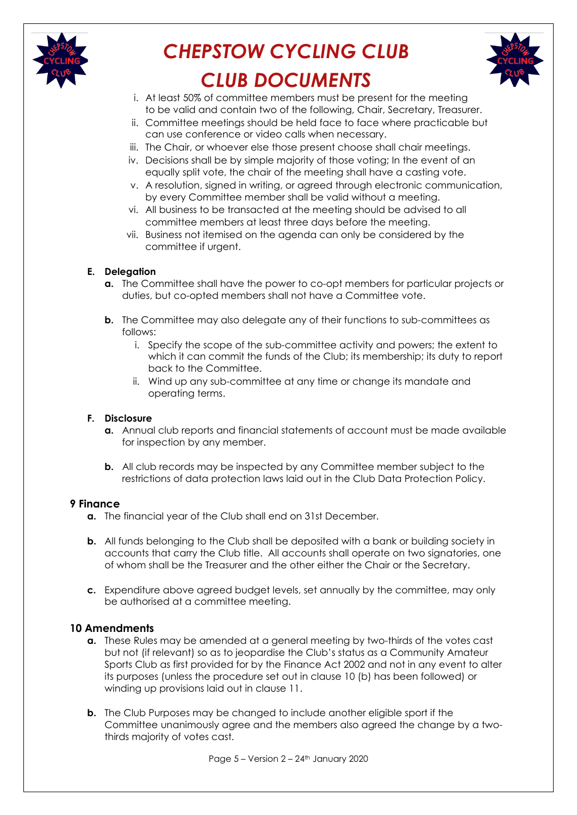



- i. At least 50% of committee members must be present for the meeting to be valid and contain two of the following, Chair, Secretary, Treasurer.
- ii. Committee meetings should be held face to face where practicable but can use conference or video calls when necessary.
- iii. The Chair, or whoever else those present choose shall chair meetings.
- iv. Decisions shall be by simple majority of those voting; In the event of an equally split vote, the chair of the meeting shall have a casting vote.
- v. A resolution, signed in writing, or agreed through electronic communication, by every Committee member shall be valid without a meeting.
- vi. All business to be transacted at the meeting should be advised to all committee members at least three days before the meeting.
- vii. Business not itemised on the agenda can only be considered by the committee if urgent.

#### **E. Delegation**

- **a.** The Committee shall have the power to co-opt members for particular projects or duties, but co-opted members shall not have a Committee vote.
- **b.** The Committee may also delegate any of their functions to sub-committees as follows:
	- i. Specify the scope of the sub-committee activity and powers; the extent to which it can commit the funds of the Club; its membership; its duty to report back to the Committee.
	- ii. Wind up any sub-committee at any time or change its mandate and operating terms.

#### **F. Disclosure**

- **a.** Annual club reports and financial statements of account must be made available for inspection by any member.
- **b.** All club records may be inspected by any Committee member subject to the restrictions of data protection laws laid out in the Club Data Protection Policy.

#### **9 Finance**

- **a.** The financial year of the Club shall end on 31st December.
- **b.** All funds belonging to the Club shall be deposited with a bank or building society in accounts that carry the Club title. All accounts shall operate on two signatories, one of whom shall be the Treasurer and the other either the Chair or the Secretary.
- **c.** Expenditure above agreed budget levels, set annually by the committee, may only be authorised at a committee meeting.

### **10 Amendments**

- **a.** These Rules may be amended at a general meeting by two-thirds of the votes cast but not (if relevant) so as to jeopardise the Club's status as a Community Amateur Sports Club as first provided for by the Finance Act 2002 and not in any event to alter its purposes (unless the procedure set out in clause 10 (b) has been followed) or winding up provisions laid out in clause 11.
- **b.** The Club Purposes may be changed to include another eligible sport if the Committee unanimously agree and the members also agreed the change by a twothirds majority of votes cast.